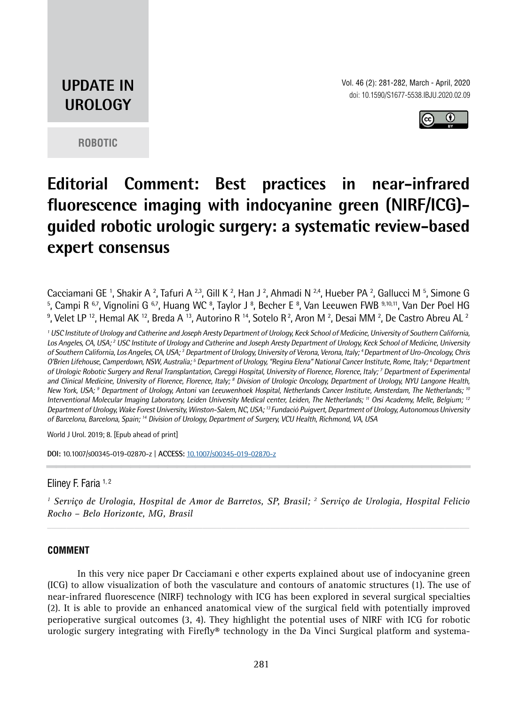# **UPDATE IN UROLOGY**



**ROBOTIC**

# **Editorial Comment: Best practices in near-infrared fluorescence imaging with indocyanine green (NIRF/ICG) guided robotic urologic surgery: a systematic review-based expert consensus**

Cacciamani GE 1, Shakir A <sup>2</sup>, Tafuri A <sup>2,3</sup>, Gill K <sup>2</sup>, Han J <sup>2</sup>, Ahmadi N <sup>2,4</sup>, Hueber PA <sup>2</sup>, Gallucci M <sup>5</sup>, Simone G <sup>5</sup>, Campi R <sup>6,7</sup>, Vignolini G <sup>6,7</sup>, Huang WC <sup>8</sup>, Taylor J <sup>8</sup>, Becher E <sup>8</sup>, Van Leeuwen FWB <sup>9,10,11</sup>, Van Der Poel HG  $^9$ , Velet LP  $^{12}$ , Hemal AK  $^{12}$ , Breda A  $^{13}$ , Autorino R  $^{14}$ , Sotelo R  $^2$ , Aron M  $^2$ , Desai MM  $^2$ , De Castro Abreu AL  $^2$ 

<sup>1</sup> USC Institute of Urology and Catherine and Joseph Aresty Department of Urology, Keck School of Medicine, University of Southern California, Los Angeles, CA, USA; <sup>2</sup> USC Institute of Urology and Catherine and Joseph Aresty Department of Urology, Keck School of Medicine, University of Southern California, Los Angeles, CA, USA; <sup>3</sup> Department of Urology, University of Verona, Verona, Italy; <sup>4</sup>Department of Uro-Oncology, Chris O'Brien Lifehouse, Camperdown, NSW, Australia; <sup>5</sup> Department of Urology, "Regina Elena" National Cancer Institute, Rome, Italy; <sup>6</sup> Department of Urologic Robotic Surgery and Renal Transplantation, Careggi Hospital, University of Florence, Florence, Italy; 7 Department of Experimental and Clinical Medicine, University of Florence, Florence, Italy; <sup>8</sup> Division of Urologic Oncology, Department of Urology, NYU Langone Health, New York, USA; <sup>9</sup> Department of Urology, Antoni van Leeuwenhoek Hospital, Netherlands Cancer Institute, Amsterdam, The Netherlands; <sup>10</sup> Interventional Molecular Imaging Laboratory, Leiden University Medical center, Leiden, The Netherlands; <sup>11</sup> Orsi Academy, Melle, Belgium; <sup>12</sup> Department of Urology, Wake Forest University, Winston-Salem, NC, USA;<sup>13</sup> Fundació Puigvert, Department of Urology, Autonomous University of Barcelona, Barcelona, Spain; <sup>14</sup> Division of Urology, Department of Surgery, VCU Health, Richmond, VA, USA

World J Urol. 2019; 8. [Epub ahead of print]

**DOI:** 10.1007/s00345-019-02870-z | **ACCESS:** 10.1007/s00345-019-02870-z **\_\_\_\_\_\_\_\_\_\_\_\_\_\_\_[\\_\\_\\_\\_\\_\\_\\_\\_\\_\\_](\\srv-sbu\NUCLEO\IBJU\Edicoes 2020\Edicao 2 2020_OK\Update in Urology\10.1007\s00345-019-02870-z)\_\_\_\_\_\_\_\_\_\_\_\_\_\_\_\_\_\_\_\_**

## Eliney F. Faria 1, 2

<sup>1</sup> Serviço de Urologia, Hospital de Amor de Barretos, SP, Brasil; <sup>2</sup> Serviço de Urologia, Hospital Felicio *Rocho – Belo Horizonte, MG, Brasil*

## **COMMENT**

In this very nice paper Dr Cacciamani e other experts explained about use of indocyanine green (ICG) to allow visualization of both the vasculature and contours of anatomic structures (1). The use of near-infrared fluorescence (NIRF) technology with ICG has been explored in several surgical specialties (2). It is able to provide an enhanced anatomical view of the surgical field with potentially improved perioperative surgical outcomes (3, 4). They highlight the potential uses of NIRF with ICG for robotic urologic surgery integrating with Firefly® technology in the Da Vinci Surgical platform and systema-